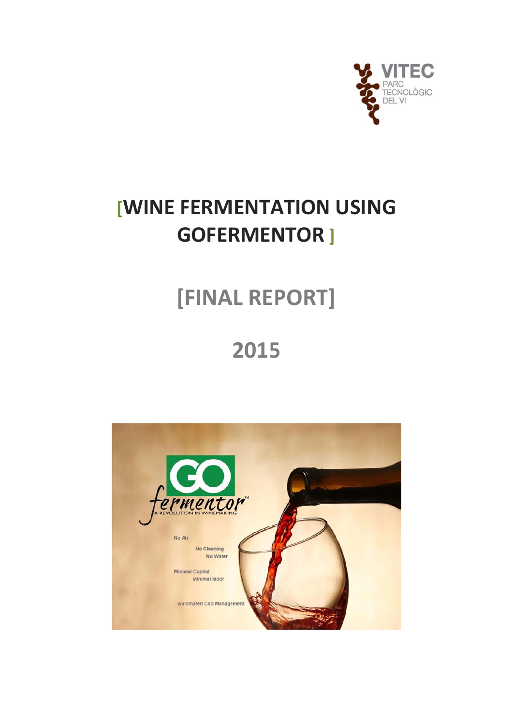

# **[WINE FERMENTATION USING GOFERMENTOR ]**

# [FINAL REPORT]

# 2015

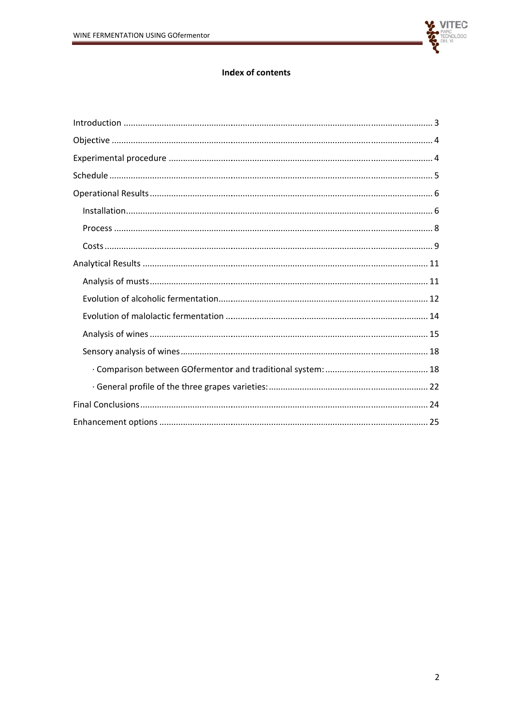

## Index of contents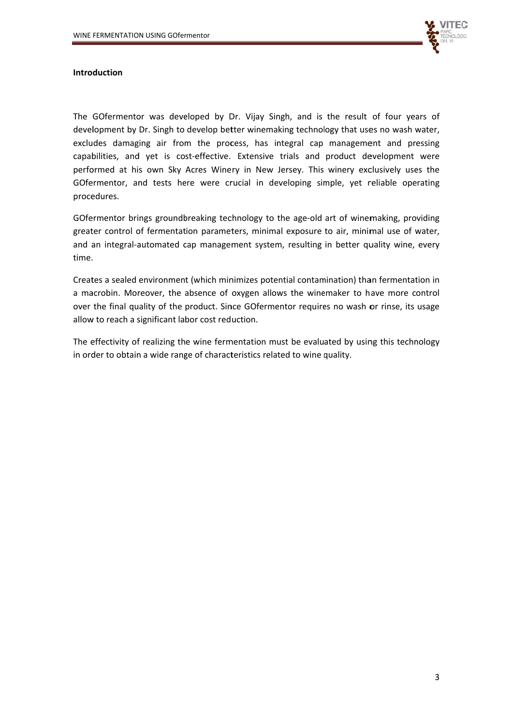

#### **Introduction**

The GOfermentor was developed by Dr. Vijay Singh, and is the result of four years of development by Dr. Singh to develop better winemaking technology that uses no wash water, excludes damaging air from the process, has integral cap management and pressing capabilities, and yet is cost-effective. Extensive trials and product development were performed at his own Sky Acres Winery in New Jersey. This winery exclusively uses the GOfermentor, and tests here were crucial in developing simple, yet reliable operating procedures.

GOfermentor brings groundbreaking technology to the age-old art of winemaking, providing greater control of fermentation parameters, minimal exposure to air, minimal use of water, and an integral-automated cap management system, resulting in better quality wine, every time.

Creates a sealed environment (which minimizes potential contamination) than fermentation in a macrobin. Moreover, the absence of oxygen allows the winemaker to have more control over the final quality of the product. Since GOfermentor requires no wash or rinse, its usage allow to reach a significant labor cost reduction.

The effectivity of realizing the wine fermentation must be evaluated by using this technology in order to obtain a wide range of characteristics related to wine quality.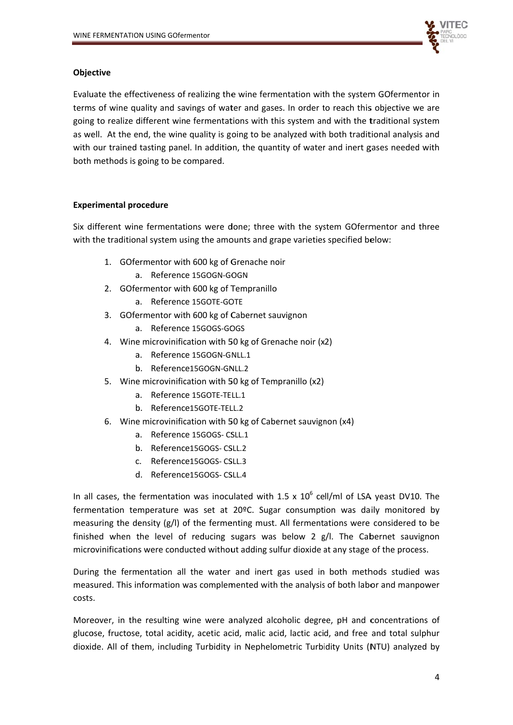

#### **Objective**

Evaluate the effectiveness of realizing the wine fermentation with the system GOfermentor in terms of wine quality and savings of water and gases. In order to reach this objective we are going to realize different wine fermentations with this system and with the traditional system as well. At the end, the wine quality is going to be analyzed with both traditional analysis and with our trained tasting panel. In addition, the quantity of water and inert gases needed with both methods is going to be compared.

## **Experimental procedure**

Six different wine fermentations were done; three with the system GOfermentor and three with the traditional system using the amounts and grape varieties specified below:

- 1. GOfermentor with 600 kg of Grenache noir
	- a. Reference 15GOGN-GOGN
- 2. GOfermentor with 600 kg of Tempranillo
	- a. Reference 15GOTE-GOTE
- 3. GOfermentor with 600 kg of Cabernet sauvignon
	- a. Reference 15GOGS-GOGS
- 4. Wine microvinification with 50 kg of Grenache noir (x2)
	- a. Reference 15GOGN-GNLL.1
	- b. Reference15GOGN-GNLL.2
- 5. Wine microvinification with 50 kg of Tempranillo (x2)
	- a. Reference 15GOTE-TELL.1
	- b. Reference15GOTE-TELL.2
- 6. Wine microvinification with 50 kg of Cabernet sauvignon (x4)
	- a. Reference 15GOGS- CSLL.1
	- b. Reference15GOGS-CSLL.2
	- c. Reference15GOGS-CSLL3
	- d. Reference15GOGS-CSLL.4

In all cases, the fermentation was inoculated with 1.5 x  $10^6$  cell/ml of LSA yeast DV10. The fermentation temperature was set at 20ºC. Sugar consumption was daily monitored by measuring the density (g/l) of the fermenting must. All fermentations were considered to be finished when the level of reducing sugars was below 2 g/l. The Cabernet sauvignon microvinifications were conducted without adding sulfur dioxide at any stage of the process.

During the fermentation all the water and inert gas used in both methods studied was measured. This information was complemented with the analysis of both labor and manpower costs.

Moreover, in the resulting wine were analyzed alcoholic degree, pH and concentrations of glucose, fructose, total acidity, acetic acid, malic acid, lactic acid, and free and total sulphur dioxide. All of them, including Turbidity in Nephelometric Turbidity Units (NTU) analyzed by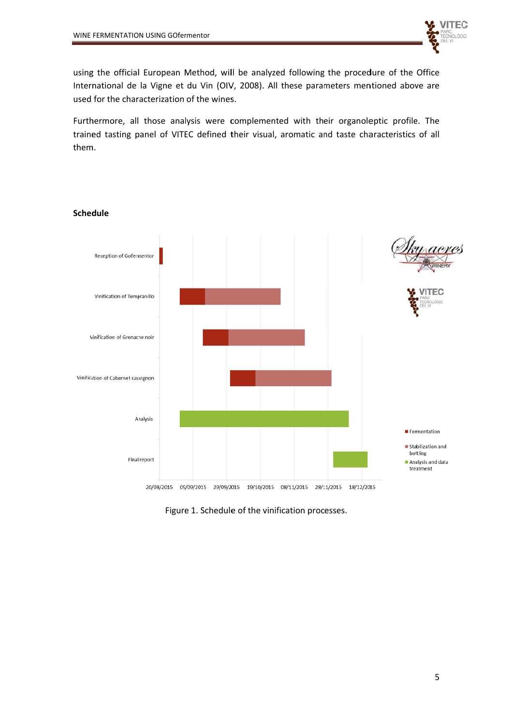

using the official European Method, will be analyzed following the procedure of the Office International de la Vigne et du Vin (OIV, 2008). All these parameters mentioned above are used for the characterization of the wines.

Furthermore, all those analysis were complemented with their organoleptic profile. The trained tasting panel of VITEC defined their visual, aromatic and taste characteristics of all them.



#### **Schedule**

Figure 1. Schedule of the vinification processes.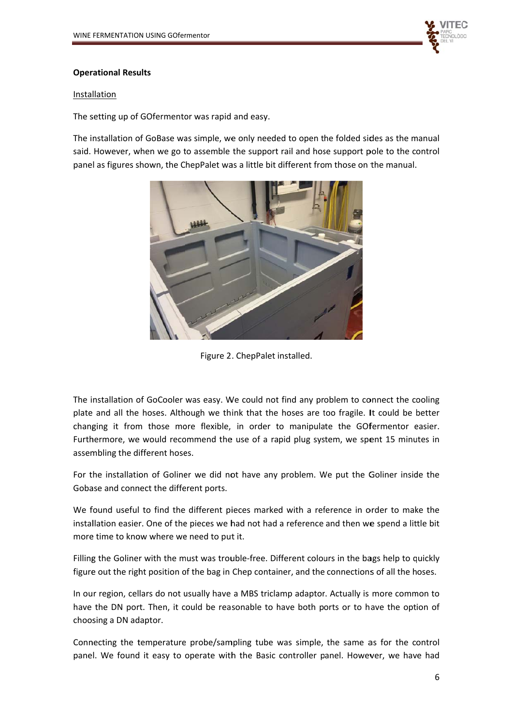

#### **Operational Results**

#### **Installation**

The setting up of GOfermentor was rapid and easy.

The installation of GoBase was simple, we only needed to open the folded sides as the manual said. However, when we go to assemble the support rail and hose support pole to the control panel as figures shown, the ChepPalet was a little bit different from those on the manual.



Figure 2 . ChepPalet installed.

The installation of GoCooler was easy. We could not find any problem to connect the cooling plate and all the hoses. Although we think that the hoses are too fragile. It could be better changing it from those more flexible, in order to manipulate the GOfermentor easier. Furthermore, we would recommend the use of a rapid plug system, we spent 15 minutes in assembling the different hoses.

For the installation of Goliner we did not have any problem. We put the Goliner inside the Gobase and connect the different ports.

We found useful to find the different pieces marked with a reference in order to make the installation easier. One of the pieces we had not had a reference and then we spend a little bit more time to know where we need to put it.

Filling the Goliner with the must was trouble-free. Different colours in the bags help to quickly figure out the right position of the bag in Chep container, and the connections of all the hoses.

In our region, cellars do not usually have a MBS triclamp adaptor. Actually is more common to have the DN port. Then, it could be reasonable to have both ports or to have the option of choos sing a DN ad daptor.

Connecting the temperature probe/sampling tube was simple, the same as for the control panel. We found it easy to operate with the Basic controller panel. However, we have had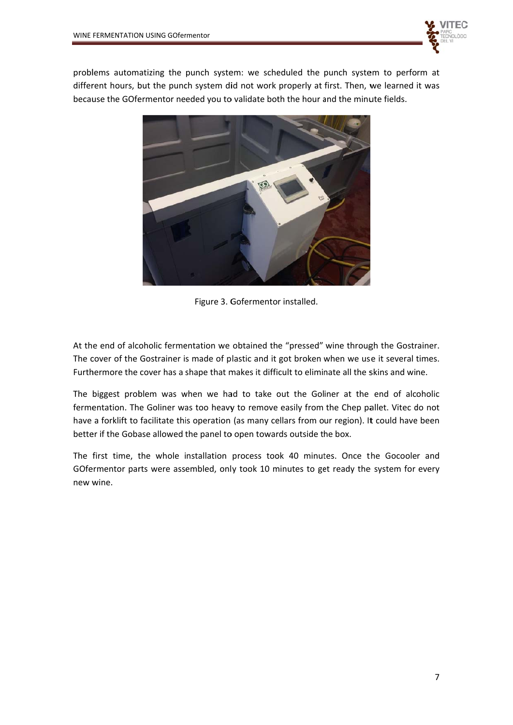

problems automatizing the punch system: we scheduled the punch system to perform at different hours, but the punch system did not work properly at first. Then, we learned it was because the GOfermentor needed you to validate both the hour and the minute fields.



Figure 3. Gofermentor installed.

At the end of alcoholic fermentation we obtained the "pressed" wine through the Gostrainer. The cover of the Gostrainer is made of plastic and it got broken when we use it several times. Furthermore the cover has a shape that makes it difficult to eliminate all the skins and wine.

The biggest problem was when we had to take out the Goliner at the end of alcoholic fermentation. The Goliner was too heavy to remove easily from the Chep pallet. Vitec do not have a forklift to facilitate this operation (as many cellars from our region). It could have been better if the Gobase allowed the panel to open towards outside the box.

The first time, the whole installation process took 40 minutes. Once the Gocooler and GOfermentor parts were assembled, only took 10 minutes to get ready the system for every new w wine.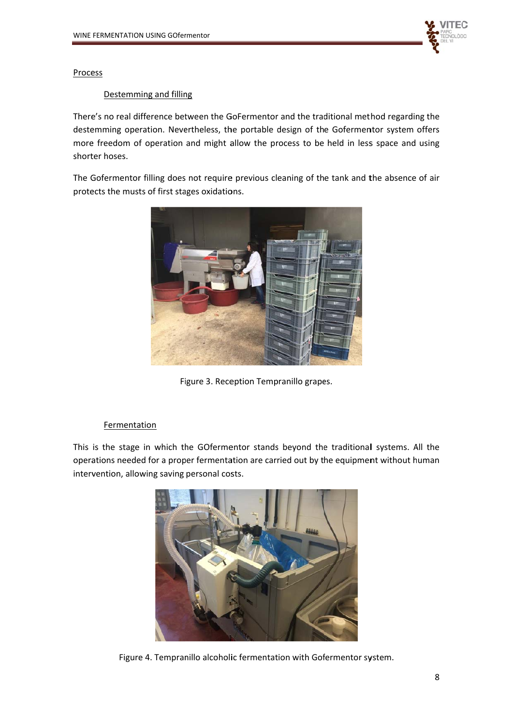

Process

#### Destemming and filling

There's no real difference between the GoFermentor and the traditional method regarding the destemming operation. Nevertheless, the portable design of the Gofermentor system offers more freedom of operation and might allow the process to be held in less space and using shorter hoses.

The Gofermentor filling does not require previous cleaning of the tank and the absence of air protects the musts of first stages oxidations.



Figure 3. Reception Tempranillo grapes.

#### Fermentation

This is the stage in which the GOfermentor stands beyond the traditional systems. All the operations needed for a proper fermentation are carried out by the equipment without human intervention, allowing saving personal costs.



Figure 4. Tempranillo alcoholic fermentation with Gofermentor system.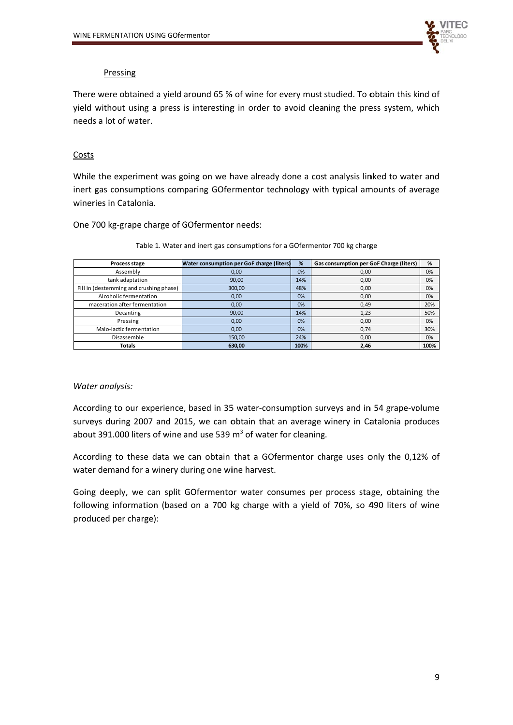

#### Pressing

There were obtained a yield around 65 % of wine for every must studied. To obtain this kind of yield without using a press is interesting in order to avoid cleaning the press system, which needs a lot of water.

#### Costs

While the experiment was going on we have already done a cost analysis linked to water and inert gas consumptions comparing GOfermentor technology with typical amounts of average wineries in Catalonia.

One 700 kg-grape charge of GOfermentor needs:

| Process stage                           | <b>Water consumption per GoF charge (liters)</b> | %    | Gas consumption per GoF Charge (liters) | %    |
|-----------------------------------------|--------------------------------------------------|------|-----------------------------------------|------|
| Assembly                                | 0,00                                             | 0%   | 0,00                                    | 0%   |
| tank adaptation                         | 90,00                                            | 14%  | 0,00                                    | 0%   |
| Fill in (destemming and crushing phase) | 300,00                                           | 48%  | 0,00                                    | 0%   |
| Alcoholic fermentation                  | 0,00                                             | 0%   | 0,00                                    | 0%   |
| maceration after fermentation           | 0,00                                             | 0%   | 0,49                                    | 20%  |
| Decanting                               | 90,00                                            | 14%  | 1,23                                    | 50%  |
| Pressing                                | 0,00                                             | 0%   | 0,00                                    | 0%   |
| Malo-lactic fermentation                | 0,00                                             | 0%   | 0,74                                    | 30%  |
| Disassemble                             | 150,00                                           | 24%  | 0,00                                    | 0%   |
| <b>Totals</b>                           | 630,00                                           | 100% | 2,46                                    | 100% |

Table 1. Water and inert gas consumptions for a GOfermentor 700 kg charge

#### Water analysis:

According to our experience, based in 35 water-consumption surveys and in 54 grape-volume surveys during 2007 and 2015, we can obtain that an average winery in Catalonia produces about 391.000 liters of wine and use 539  $m<sup>3</sup>$  of water for cleaning.

According to these data we can obtain that a GOfermentor charge uses only the 0,12% of water demand for a winery during one wine harvest.

Going deeply, we can split GOfermentor water consumes per process stage, obtaining the following information (based on a 700 kg charge with a yield of 70%, so 490 liters of wine produced per charge):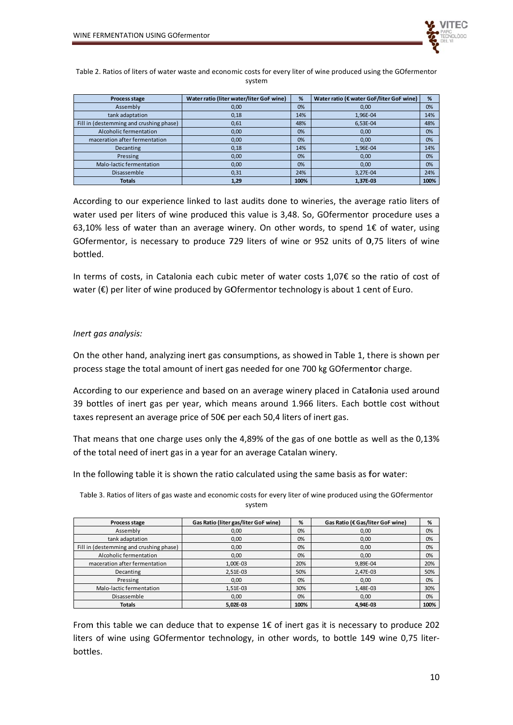

Table 2. Ratios of liters of water waste and economic costs for every liter of wine produced using the GOfermentor system

| Process stage                           | Water ratio (liter water/liter GoF wine) | %    | Water ratio (€ water GoF/liter GoF wine) | %    |
|-----------------------------------------|------------------------------------------|------|------------------------------------------|------|
| Assembly                                | 0,00                                     | 0%   | 0,00                                     | 0%   |
| tank adaptation                         | 0,18                                     | 14%  | 1,96E-04                                 | 14%  |
| Fill in (destemming and crushing phase) | 0,61                                     | 48%  | 6,53E-04                                 | 48%  |
| Alcoholic fermentation                  | 0,00                                     | 0%   | 0,00                                     | 0%   |
| maceration after fermentation           | 0,00                                     | 0%   | 0,00                                     | 0%   |
| Decanting                               | 0,18                                     | 14%  | 1.96E-04                                 | 14%  |
| Pressing                                | 0,00                                     | 0%   | 0,00                                     | 0%   |
| Malo-lactic fermentation                | 0,00                                     | 0%   | 0,00                                     | 0%   |
| Disassemble                             | 0,31                                     | 24%  | 3,27E-04                                 | 24%  |
| <b>Totals</b>                           | 1,29                                     | 100% | 1.37E-03                                 | 100% |

According to our experience linked to last audits done to wineries, the average ratio liters of water used per liters of wine produced this value is 3,48. So, GOfermentor procedure uses a 63,10% less of water than an average winery. On other words, to spend  $1 \epsilon$  of water, using GOfermentor, is necessary to produce 729 liters of wine or 952 units of 0.75 liters of wine hottled.

In terms of costs, in Catalonia each cubic meter of water costs 1,07€ so the ratio of cost of water (€) per liter of wine produced by GOfermentor technology is about 1 cent of Euro.

#### Inert gas analysis:

On the other hand, analyzing inert gas consumptions, as showed in Table 1, there is shown per process stage the total amount of inert gas needed for one 700 kg GOfermentor charge.

According to our experience and based on an average winery placed in Catalonia used around 39 bottles of inert gas per year, which means around 1.966 liters. Each bottle cost without taxes represent an average price of 50€ per each 50,4 liters of inert gas.

That means that one charge uses only the 4,89% of the gas of one bottle as well as the 0,13% of the total need of inert gas in a year for an average Catalan winery.

In the following table it is shown the ratio calculated using the same basis as for water:

Table 3. Ratios of liters of gas waste and economic costs for every liter of wine produced using the GOfermentor system

| Process stage                           | Gas Ratio (liter gas/liter GoF wine) | %    | Gas Ratio (€ Gas/liter GoF wine) | %    |
|-----------------------------------------|--------------------------------------|------|----------------------------------|------|
| Assembly                                | 0,00                                 | 0%   | 0,00                             | 0%   |
| tank adaptation                         | 0,00                                 | 0%   | 0,00                             | 0%   |
| Fill in (destemming and crushing phase) | 0,00                                 | 0%   | 0,00                             | 0%   |
| Alcoholic fermentation                  | 0.00                                 | 0%   | 0,00                             | 0%   |
| maceration after fermentation           | 1,00E-03                             | 20%  | 9,89E-04                         | 20%  |
| Decanting                               | 2,51E-03                             | 50%  | 2,47E-03                         | 50%  |
| Pressing                                | 0,00                                 | 0%   | 0,00                             | 0%   |
| Malo-lactic fermentation                | 1,51E-03                             | 30%  | 1,48E-03                         | 30%  |
| Disassemble                             | 0,00                                 | 0%   | 0,00                             | 0%   |
| <b>Totals</b>                           | 5.02E-03                             | 100% | 4.94E-03                         | 100% |

From this table we can deduce that to expense  $1 \epsilon$  of inert gas it is necessary to produce 202 liters of wine using GOfermentor technology, in other words, to bottle 149 wine 0,75 literbottles.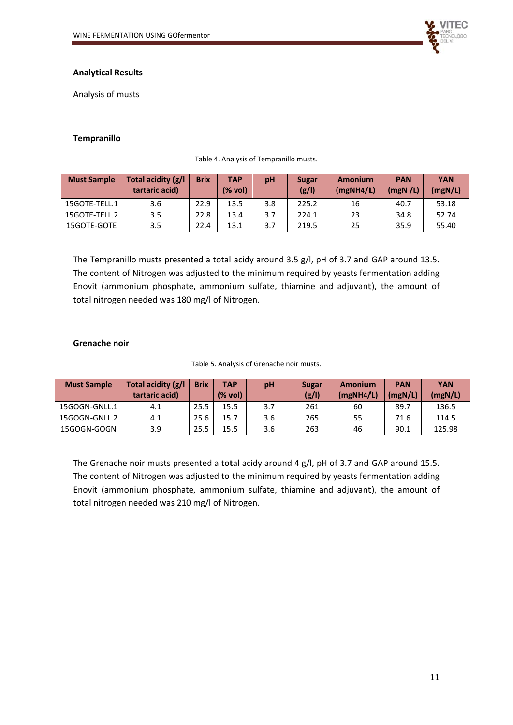

### **Analytical Results**

Analysis of musts

#### **Tempranillo**

| <b>Must Sample</b> | Total acidity (g/l<br>tartaric acid) | <b>Brix</b> | <b>TAP</b><br>(% vol) | pH  | Amonium<br>Sugar<br>(g/1)<br>$(mgNH4/\mathbb{L})$ |    | <b>PAN</b><br>(mgN/L) | <b>YAN</b><br>(mgN/L) |
|--------------------|--------------------------------------|-------------|-----------------------|-----|---------------------------------------------------|----|-----------------------|-----------------------|
| 15GOTE-TELL.1      | 3.6                                  | 22.9        | 13.5                  | 3.8 | 225.2                                             | 16 | 40.7                  | 53.18                 |
| 15GOTE-TELL.2      | 3.5                                  | 22.8        | 13.4                  | 3.7 | 224.1                                             | 23 | 34.8                  | 52.74                 |
| 15GOTE-GOTE        | 3.5                                  | 22.4        | 13.1                  | 3.7 | 219.5                                             | 25 | 35.9                  | 55.40                 |

Table 4. Analysis of Tempranillo musts.

The Tempranillo musts presented a total acidy around 3.5 g/l, pH of 3.7 and GAP around 13.5. The content of Nitrogen was adjusted to the minimum required by yeasts fermentation adding Enovit (ammonium phosphate, ammonium sulfate, thiamine and adjuvant), the amount of total nitrogen needed was 180 mg/l of Nitrogen.

#### **Grenache noir**

| Table 5. Analysis of Grenache noir musts. |  |
|-------------------------------------------|--|
|-------------------------------------------|--|

| <b>Must Sample</b> | Total acidity (g/l<br>tartaric acid) | <b>Brix</b> | TAP<br>(% vol) | pH  | Sugar<br>(g/1) | <b>Amonium</b><br>(mgNH4/L) | <b>PAN</b><br>(mgN/L) | <b>YAN</b><br>(mgN/L) |
|--------------------|--------------------------------------|-------------|----------------|-----|----------------|-----------------------------|-----------------------|-----------------------|
| 15GOGN-GNLL.1      | 4.1                                  | 25.5        | 15.5           | 3.7 | 261            | 60                          | 89.7                  | 136.5                 |
| 15GOGN-GNLL.2      | 4.1                                  | 25.6        | 15.7           | 3.6 | 265            | 55                          | 71.6                  | 114.5                 |
| 15GOGN-GOGN        | 3.9                                  | 25.5        | 15.5           | 3.6 | 263            | 46                          | 90.1                  | 125.98                |

The Grenache noir musts presented a total acidy around 4 g/l, pH of 3.7 and GAP around 15.5. The content of Nitrogen was adjusted to the minimum required by yeasts fermentation adding Enovit (ammonium phosphate, ammonium sulfate, thiamine and adjuvant), the amount of total nitrogen needed was 210 mg/l of Nitrogen.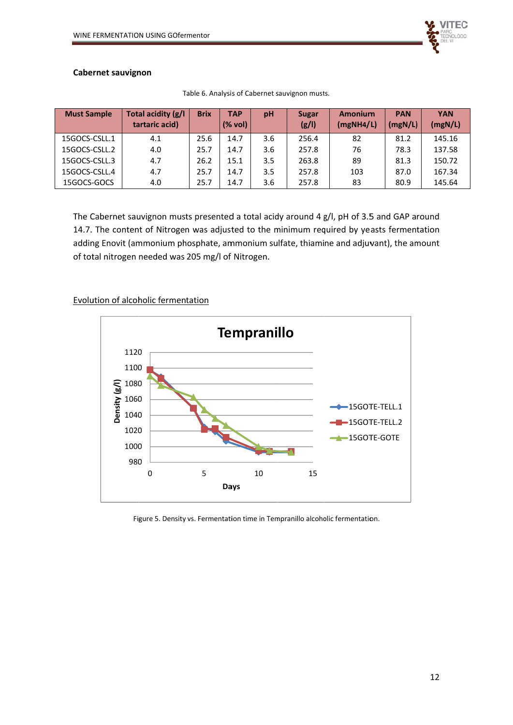

#### **Cabernet sauvignon**

| <b>Must Sample</b> | Total acidity (g/l<br>tartaric acid) | <b>Brix</b> | <b>TAP</b><br>pH<br>(% vol) |     | <b>Sugar</b><br>(g/1) | Amonium<br>(mgNH4/L) | <b>PAN</b><br>(mgN/L) | <b>YAN</b><br>(mgN/L) |
|--------------------|--------------------------------------|-------------|-----------------------------|-----|-----------------------|----------------------|-----------------------|-----------------------|
| 15GOCS-CSLL.1      | 4.1                                  | 25.6        | 14.7                        | 3.6 | 256.4                 | 82                   | 81.2                  | 145.16                |
| 15GOCS-CSLL.2      | 4.0                                  | 25.7        | 14.7                        | 3.6 | 257.8                 | 76                   | 78.3                  | 137.58                |
| 15GOCS-CSLL.3      | 4.7                                  | 26.2        | 15.1                        | 3.5 | 263.8                 | 89                   | 81.3                  | 150.72                |
| 15GOCS-CSLL.4      | 4.7                                  | 25.7        | 14.7                        | 3.5 | 257.8                 | 103                  | 87.0                  | 167.34                |
| 15GOCS-GOCS        | 4.0                                  | 25.7        | 14.7                        | 3.6 | 257.8                 | 83                   | 80.9                  | 145.64                |

Table 6. Analysis of Cabernet sauvignon musts.

The Cabernet sauvignon musts presented a total acidy around 4 g/l, pH of 3.5 and GAP around 14.7. The content of Nitrogen was adjusted to the minimum required by yeasts fermentation adding Enovit (ammonium phosphate, ammonium sulfate, thiamine and adjuvant), the amount of total nitrogen needed was 205 mg/l of Nitrogen.

## Evolution of alcoholic fermentation



Figure 5. Density vs. Fermentation time in Tempranillo alcoholic fermentation.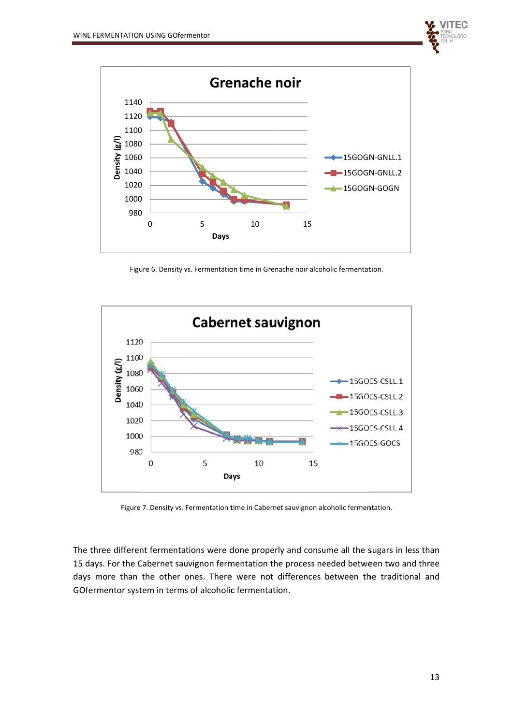



Figure 6. Density vs. Fermentation time in Grenache noir alcoholic fermentation.



Figure 7. Density vs. Fermentation time in Cabernet sauvignon alcoholic fermentation.

The three different fermentations were done properly and consume all the sugars in less than 15 days. For the Cabernet sauvignon fermentation the process needed between two and three days more than the other ones. There were not differences between the traditional and GOfermentor system in terms of alcoholic fermentation.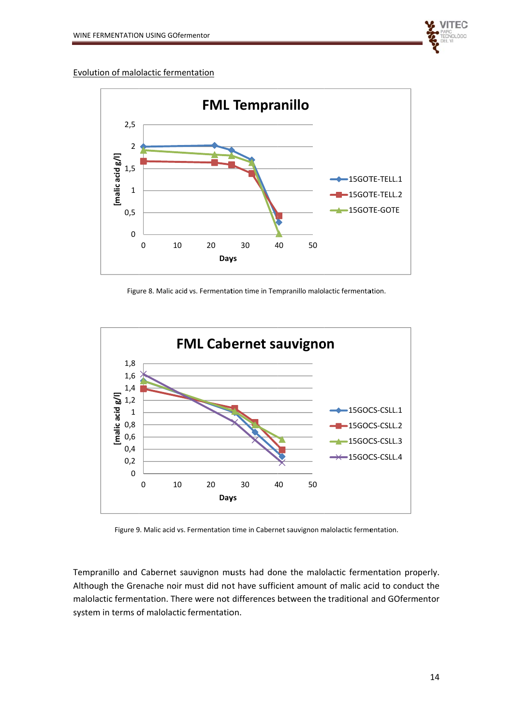

Evolution of malolactic fermentation



Figure 8. Malic acid vs. Fermentation time in Tempranillo malolactic fermentation.



Figure 9. Malic acid vs. Fermentation time in Cabernet sauvignon malolactic fermentation.

Tempranillo and Cabernet sauvignon musts had done the malolactic fermentation properly. Although the Grenache noir must did not have sufficient amount of malic acid to conduct the malolactic fermentation. There were not differences between the traditional and GOfermentor system in terms of malolactic fermentation.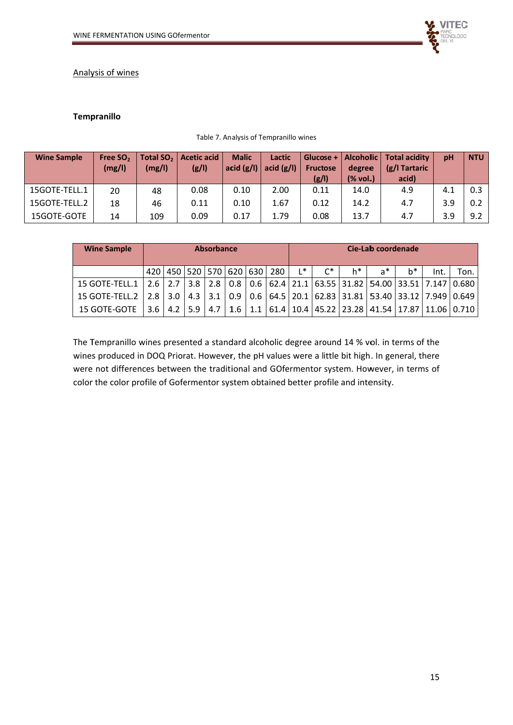

#### Analysis of wines

#### Tempranillo

#### Table 7. Analysis of Tempranillo wines

| <b>Wine Sample</b> | Free SO <sub>2</sub><br>(mg/l) | Total SO <sub>2</sub> $\vert$<br>(mg/l) | <b>Acetic acid</b><br>(g/1) | <b>Malic</b><br>acid $(g/l)$ | Lactic<br>acid $(g/l)$ | Glucose + $\vert$<br><b>Fructose</b><br>(g/l) | Alcohollic  <br>degree<br>$(\%$ vol.) | Total acidity<br>(g/l Tartaric<br>acid) | pH  | <b>NTU</b> |
|--------------------|--------------------------------|-----------------------------------------|-----------------------------|------------------------------|------------------------|-----------------------------------------------|---------------------------------------|-----------------------------------------|-----|------------|
| 15GOTE-TELL.1      | 20                             | 48                                      | 0.08                        | 0.10                         | 2.00                   | 0.11                                          | 14.0                                  | 4.9                                     | 4.1 | 0.3        |
| 15GOTE-TELL.2      | 18                             | 46                                      | 0.11                        | 0.10                         | 1.67                   | 0.12                                          | 14.2                                  | 4.7                                     | 3.9 | 0.2        |
| 15GOTE-GOTE        | 14                             | 109                                     | 0.09                        | 0.17                         | 1.79                   | 0.08                                          | 13.7                                  | 4.7                                     | 3.9 | 9.2        |

| <b>Wine Sample</b>              | <b>Absorbance</b> |                   |           |     |  |  |                                         |       |                   |    | Cie-Lab coordenade                                                        |    |      |      |
|---------------------------------|-------------------|-------------------|-----------|-----|--|--|-----------------------------------------|-------|-------------------|----|---------------------------------------------------------------------------|----|------|------|
|                                 |                   |                   |           |     |  |  | 420   450   520   570   620   630   280 | $L^*$ | $\mathsf{C}^\ast$ | h* | $a^*$                                                                     | h* | Int. | Ton. |
| $15$ GOTE-TELL. $1$ $\parallel$ |                   | $2.6$   2.7   3.8 |           | 2.8 |  |  |                                         |       |                   |    | $0.8$   0.6   62.4   21.1   63.55   31.82   54.00   33.51   7.147   0.680 |    |      |      |
| $15$ GOTE-TELL.2 $\parallel$    |                   | $2.8$ 3.0         | 4.3       | 3.1 |  |  |                                         |       |                   |    | $0.9$   0.6   64.5   20.1   62.83   31.81   53.40   33.12   7.949   0.649 |    |      |      |
| 15 GOTE-GOTE                    | 3.6 <sub>1</sub>  |                   | $4.2$ 5.9 | 4.7 |  |  |                                         |       |                   |    | 1.6   1.1   61.4   10.4   45.22   23.28   41.54   17.87   11.06   0.710   |    |      |      |

The Tempranillo wines presented a standard alcoholic degree around 14 % vol. in terms of the wines produced in DOQ Priorat. However, the pH values were a little bit high. In general, there were not differences between the traditional and GOfermentor system. However, in terms of color the color profile of Gofermentor system obtained better profile and intensity.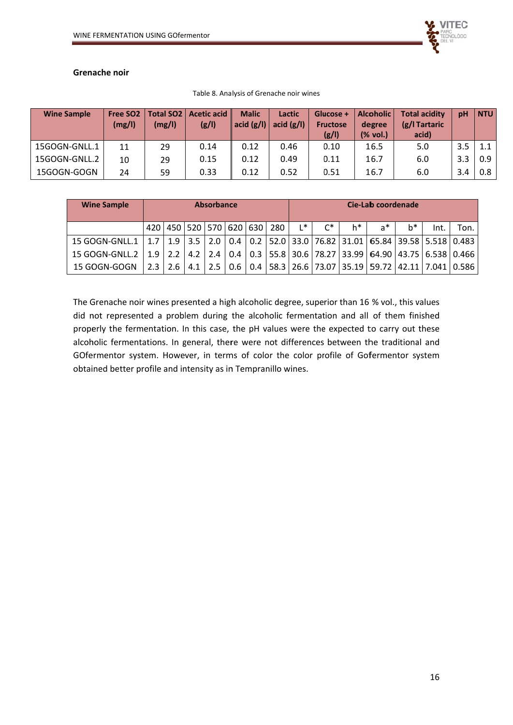#### Grenache noir

| <b>Wine Sample</b> | Free SO <sub>2</sub><br>(mg/l) | (mg/l) | Total SO2   Acetic acid<br>(g/1) | <b>Malic</b><br>acid $(g/l)$ | Lactic<br>acid $(g/I)$ | Glucose +<br><b>Fructose</b><br>(g/1) | <b>Alcoholic</b><br>degree<br>(% vol.) | <b>Total acidity</b><br>(g/l Tartaric<br>acid) | pH  | <b>NTU</b> |
|--------------------|--------------------------------|--------|----------------------------------|------------------------------|------------------------|---------------------------------------|----------------------------------------|------------------------------------------------|-----|------------|
| 15GOGN-GNLL.1      | 11                             | 29     | 0.14                             | 0.12                         | 0.46                   | 0.10                                  | 16.5                                   | 5.0                                            | 3.5 | 1.1        |
| 15GOGN-GNLL.2      | 10                             | 29     | 0.15                             | 0.12                         | 0.49                   | 0.11                                  | 16.7                                   | 6.0                                            | 3.3 | 0.9        |
| 15GOGN-GOGN        | 24                             | 59     | 0.33                             | 0.12                         | 0.52                   | 0.51                                  | 16.7                                   | 6.0                                            | 3.4 | 0.8        |

Table 8. Analysis of Grenache noir wines

| <b>Wine Sample</b> | <b>Absorbance</b> |           |  |                         |  |                         |     |       |       |    | Cie-Lab coordenade                                                                    |       |      |      |
|--------------------|-------------------|-----------|--|-------------------------|--|-------------------------|-----|-------|-------|----|---------------------------------------------------------------------------------------|-------|------|------|
|                    |                   |           |  |                         |  | 420 450 520 570 620 630 | 280 | $L^*$ | $C^*$ | h* | $a^*$                                                                                 | $h^*$ | Int. | Ton. |
| 15 GOGN-GNLL.1     |                   |           |  | $1.7$   1.9   3.5   2.0 |  |                         |     |       |       |    | 0.4   0.2  52.0   33.0   76.82   31.01   65.84   39.58   5.518   0.483                |       |      |      |
| 15 GOGN-GNLL.2     |                   | $1.9$ 2.2 |  |                         |  |                         |     |       |       |    | $4.2$   2.4   0.4   0.3   55.8   30.6   78.27   33.99   64.90   43.75   6.538   0.466 |       |      |      |
| 15 GOGN-GOGN       |                   |           |  | $2.3$   2.6   4.1   2.5 |  |                         |     |       |       |    | $0.6$   0.4   58.3   26.6   73.07   35.19   59.72   42.11   7.041   0.586             |       |      |      |

The Grenache noir wines presented a high alcoholic degree, superior than 16 % vol., this values did not represented a problem during the alcoholic fermentation and all of them finished properly the fermentation. In this case, the pH values were the expected to carry out these alcoholic fermentations. In general, there were not differences between the traditional and GOfermentor system. However, in terms of color the color profile of Gofermentor system obtained better profile and intensity as in Tempranillo wines.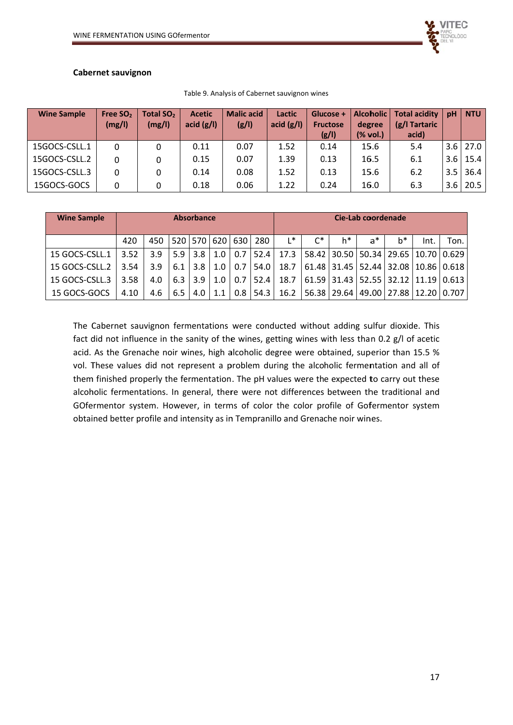## **Cabernet sauvignon**

| <b>Wine Sample</b> | Free SO <sub>2</sub><br>(mg/l) | Total SO <sub>2</sub><br>(mg/l) | <b>Acetic</b><br>acid $(g/l)$ | <b>Malic acid</b><br>(g/1) | Lactic<br>acid $(g/I)$ | Glucose +<br><b>Fructose</b><br>(g/1) | Alcoholic  <br>degree<br>$(% \mathcal{L}_{0})$ (% vol.) | <b>Total acidity</b><br>(g/l Tartaric<br>acid) | pH  | <b>NTU</b>   |
|--------------------|--------------------------------|---------------------------------|-------------------------------|----------------------------|------------------------|---------------------------------------|---------------------------------------------------------|------------------------------------------------|-----|--------------|
| 15GOCS-CSLL.1      | 0                              |                                 | 0.11                          | 0.07                       | 1.52                   | 0.14                                  | 15.6                                                    | 5.4                                            |     | $3.6$ 27.0   |
| 15GOCS-CSLL.2      | 0                              |                                 | 0.15                          | 0.07                       | 1.39                   | 0.13                                  | 16.5                                                    | 6.1                                            |     | $3.6$   15.4 |
| 15GOCS-CSLL.3      | 0                              |                                 | 0.14                          | 0.08                       | 1.52                   | 0.13                                  | 15.6                                                    | 6.2                                            | 3.5 | 36.4         |
| 15GOCS-GOCS        | 0                              |                                 | 0.18                          | 0.06                       | 1.22                   | 0.24                                  | 16.0                                                    | 6.3                                            | 3.6 | 20.5         |

Table 9. Analysis of Cabernet sauvignon wines

| <b>Wine Sample</b> | <b>Absorbance</b> |     |        |                  |     | Cie-Lab coordenade |                |             |       |    |                                                                   |       |      |                                               |
|--------------------|-------------------|-----|--------|------------------|-----|--------------------|----------------|-------------|-------|----|-------------------------------------------------------------------|-------|------|-----------------------------------------------|
|                    | 420               | 450 |        |                  |     | 520 570 620 630    | 280            | L*          | $C^*$ | h* | a*                                                                | $b^*$ | Int. | Ton.                                          |
| 15 GOCS-CSLL.1     | 3.52              | 3.9 | $5.9+$ | 3.8              | 1.0 |                    |                |             |       |    | 0.7   52.4   17.3   58.42   30.50   50.34   29.65   10.70   0.629 |       |      |                                               |
| 15 GOCS-CSLL.2     | 3.54              | 3.9 | 6.1    | 3.8              | 1.0 | 0.7 <sub>l</sub>   |                | $54.0$ 18.7 |       |    | 61.48   31.45   52.44   32.08   10.86   0.618                     |       |      |                                               |
| 15 GOCS-CSLL.3     | 3.58              | 4.0 |        | $6.3$   3.9      | 1.0 | 0.7                | 52.4           | 18.7        |       |    |                                                                   |       |      | 61.59   31.43   52.55   32.12   11.19   0.613 |
| 15 GOCS-GOCS       | 4.10              | 4.6 | 6.5    | 4.0 <sub>1</sub> | 1.1 | 0.8                | $54.3 \square$ | 16.2        |       |    | 56.38   29.64   49.00   27.88   12.20   0.707                     |       |      |                                               |

The Cabernet sauvignon fermentations were conducted without adding sulfur dioxide. This fact did not influence in the sanity of the wines, getting wines with less than 0.2 g/l of acetic acid. As the Grenache noir wines, high alcoholic degree were obtained, superior than 15.5 % vol. These values did not represent a problem during the alcoholic fermentation and all of them finished properly the fermentation. The pH values were the expected to carry out these alcoholic fermentations. In general, there were not differences between the traditional and GOfermentor system. However, in terms of color the color profile of Gofermentor system obtained better profile and intensity as in Tempranillo and Grenache noir wines.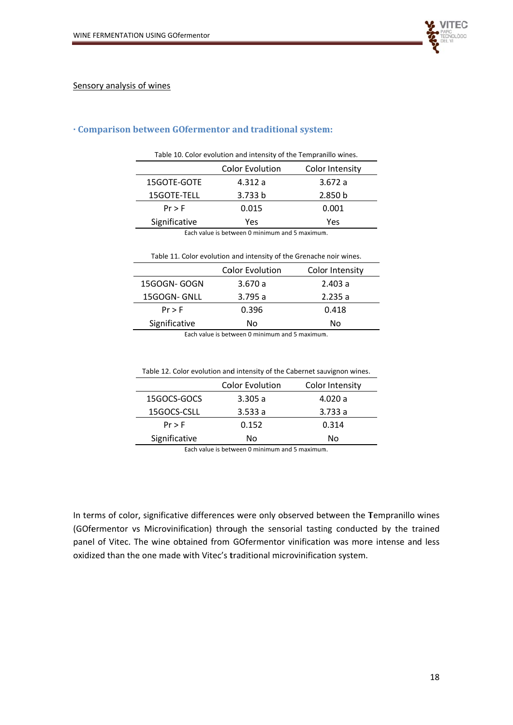



## · Comparison between GOfermentor and traditional system:

| Table 10. Color evolution and intensity of the Tempranillo wines. |         |                    |  |  |  |  |  |
|-------------------------------------------------------------------|---------|--------------------|--|--|--|--|--|
| <b>Color Evolution</b><br>Color Intensity                         |         |                    |  |  |  |  |  |
| 15GOTE-GOTE<br>4.312a<br>3.672a                                   |         |                    |  |  |  |  |  |
| 15GOTE-TELL                                                       | 3.733 b | 2.850 <sub>b</sub> |  |  |  |  |  |
| 0.015<br>0.001<br>$Pr$ > F                                        |         |                    |  |  |  |  |  |
| Significative<br>Yes<br>Yes                                       |         |                    |  |  |  |  |  |
| Each value is between $\Omega$ minimum and $E$ maximum            |         |                    |  |  |  |  |  |

Each value is between 0 minimum and 5 maximum.

| Table 11. Color evolution and intensity of the Grenache noir wines. |        |        |  |  |  |  |
|---------------------------------------------------------------------|--------|--------|--|--|--|--|
| <b>Color Evolution</b><br>Color Intensity                           |        |        |  |  |  |  |
| 15GOGN-GOGN                                                         | 3.670a | 2.403a |  |  |  |  |
| 15GOGN-GNLL                                                         | 3.795a | 2.235a |  |  |  |  |
| $Pr$ > F                                                            | 0.396  | 0.418  |  |  |  |  |
| Significative                                                       | No     |        |  |  |  |  |
|                                                                     |        |        |  |  |  |  |

Each value is between 0 minimum and 5 maximum.

|               | <b>Color Evolution</b> | Color Intensity |
|---------------|------------------------|-----------------|
| 15GOCS-GOCS   | 3.305a                 | 4.020 a         |
| 15GOCS-CSLL   | 3.533a                 | 3.733a          |
| $Pr$ > F      | 0.152                  | 0.314           |
| Significative | No                     | No              |
|               |                        |                 |

Table 12. Color evolution and intensity of the Cabernet sauvignon wines.

Each value is between 0 minimum and 5 maximum.

In terms of color, significative differences were only observed between the Tempranillo wines (GOfermentor vs Microvinification) through the sensorial tasting conducted by the trained panel of Vitec. The wine obtained from GOfermentor vinification was more intense and less oxidized than the one made with Vitec's traditional microvinification system.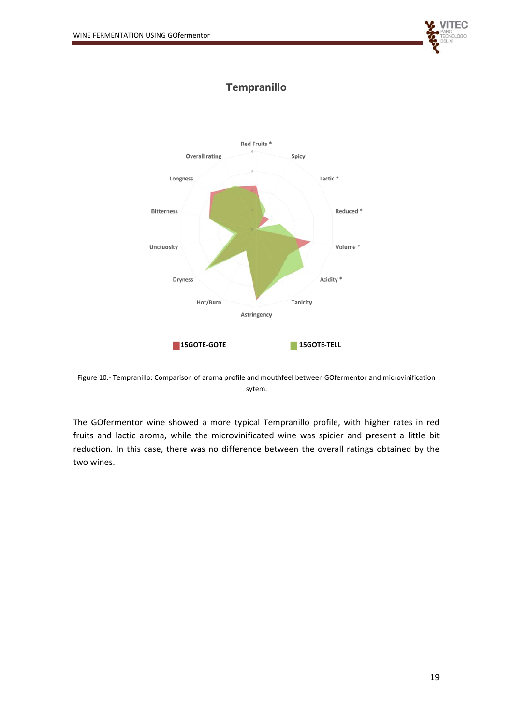

# **Tempranillo**



Figure 10.- Tempranillo: Comparison of aroma profile and mouthfeel between GOfermentor and microvinification sytem.

The GOfermentor wine showed a more typical Tempranillo profile, with higher rates in red fruits and lactic aroma, while the microvinificated wine was spicier and present a little bit reduction. In this case, there was no difference between the overall ratings obtained by the two wines.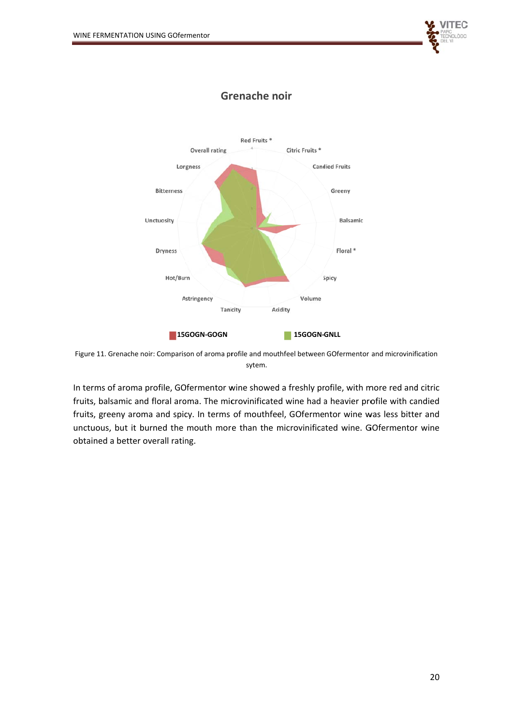



## **Grenache noir**

In terms of aroma profile, GOfermentor wine showed a freshly profile, with more red and citric fruits, balsamic and floral aroma. The microvinificated wine had a heavier profile with candied fruits, greeny aroma and spicy. In terms of mouthfeel, GOfermentor wine was less bitter and unctuous, but it burned the mouth more than the microvinificated wine. GOfermentor wine obtained a better overall rating.

Figure 11. Grenache noir: Comparison of aroma profile and mouthfeel between GOfermentor and microvinification sytem.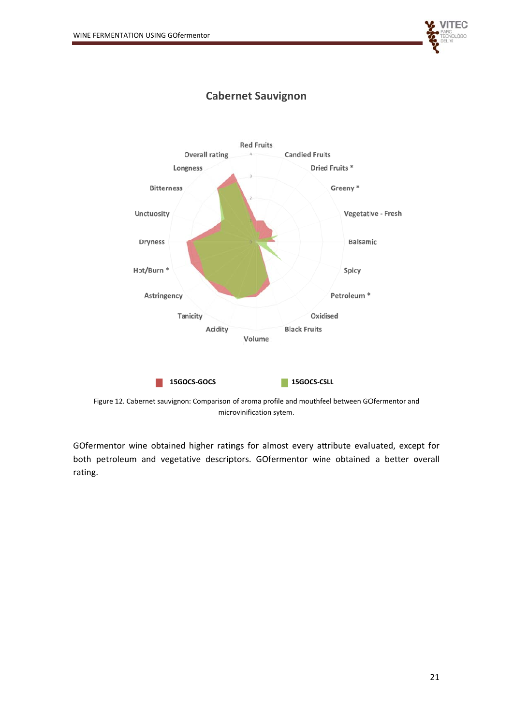



# **Cabernet Sauvignon**

Figure 12. Cabernet sauvignon: Comparison of aroma profile and mouthfeel between GOfermentor and microvinification sytem.

GOfermentor wine obtained higher ratings for almost every attribute evaluated, except for both petroleum and vegetative descriptors. GOfermentor wine obtained a better overall rating.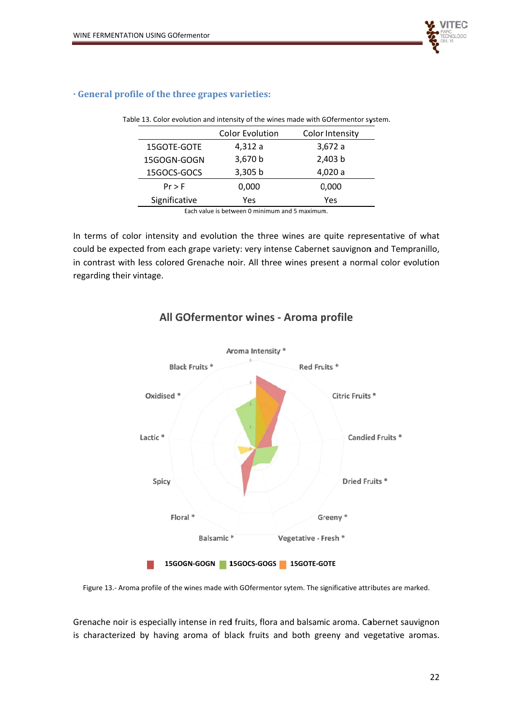

|               | <b>Color Evolution</b> | Color Intensity |
|---------------|------------------------|-----------------|
| 15GOTE-GOTE   | 4,312 a                | 3,672a          |
| 15GOGN-GOGN   | 3,670 b                | 2,403 b         |
| 15GOCS-GOCS   | 3,305 b                | 4,020 a         |
| $Pr$ > F      | 0,000                  | 0,000           |
| Significative | Yes                    | Yes             |

Table 13. Color evolution and intensity of the wines made with GOfermentor system.

· General profile of the three grapes varieties:

Each value is between 0 minimum and 5 maximum.

In terms of color intensity and evolution the three wines are quite representative of what could be expected from each grape variety: very intense Cabernet sauvignon and Tempranillo, in contrast with less colored Grenache noir. All three wines present a normal color evolution regarding their vintage.



## All GOfermentor wines - Aroma profile

Figure 13.- Aroma profile of the wines made with GOfermentor sytem. The significative attributes are marked.

Grenache noir is especially intense in red fruits, flora and balsamic aroma. Cabernet sauvignon is characterized by having aroma of black fruits and both greeny and vegetative aromas.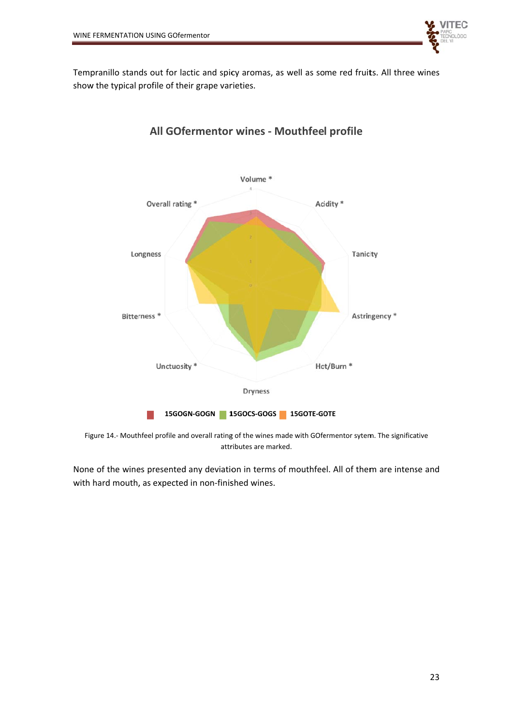

Tempranillo stands out for lactic and spicy aromas, as well as some red fruits. All three wines show the typical profile of their grape varieties.



# All GOfermentor wines - Mouthfeel profile

Figure 14.- Mouthfeel profile and overall rating of the wines made with GOfermentor sytem. The significative attributes are marked.

None of the wines presented any deviation in terms of mouthfeel. All of them are intense and with hard mouth, as expected in non-finished wines.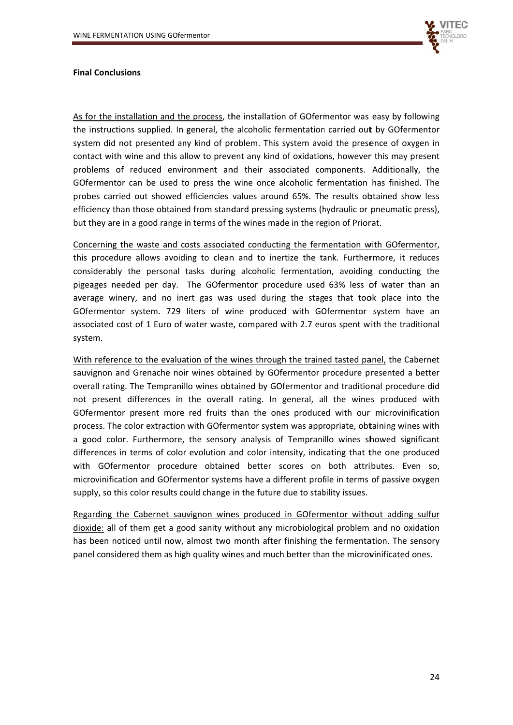

#### **Final Conclusions**

As for the installation and the process, the installation of GOfermentor was easy by following the instructions supplied. In general, the alcoholic fermentation carried out by GOfermentor system did not presented any kind of problem. This system avoid the presence of oxygen in contact with wine and this allow to prevent any kind of oxidations, however this may present problems of reduced environment and their associated components. Additionally, the GOfermentor can be used to press the wine once alcoholic fermentation has finished. The probes carried out showed efficiencies values around 65%. The results obtained show less efficiency than those obtained from standard pressing systems (hydraulic or pneumatic press), but they are in a good range in terms of the wines made in the region of Priorat.

Concerning the waste and costs associated conducting the fermentation with GOfermentor, this procedure allows avoiding to clean and to inertize the tank. Furthermore, it reduces considerably the personal tasks during alcoholic fermentation, avoiding conducting the pigeages needed per day. The GOfermentor procedure used 63% less of water than an average winery, and no inert gas was used during the stages that took place into the GOfermentor system. 729 liters of wine produced with GOfermentor system have an associated cost of 1 Euro of water waste, compared with 2.7 euros spent with the traditional system.

With reference to the evaluation of the wines through the trained tasted panel, the Cabernet sauvignon and Grenache noir wines obtained by GOfermentor procedure presented a better overall rating. The Tempranillo wines obtained by GOfermentor and traditional procedure did not present differences in the overall rating. In general, all the wines produced with GOfermentor present more red fruits than the ones produced with our microvinification process. The color extraction with GOfermentor system was appropriate, obtaining wines with a good color. Furthermore, the sensory analysis of Tempranillo wines showed significant differences in terms of color evolution and color intensity, indicating that the one produced with GOfermentor procedure obtained better scores on both attributes. Even so, microvinification and GOfermentor systems have a different profile in terms of passive oxygen supply, so this color results could change in the future due to stability issues.

Regarding the Cabernet sauvignon wines produced in GOfermentor without adding sulfur dioxide: all of them get a good sanity without any microbiological problem and no oxidation has been noticed until now, almost two month after finishing the fermentation. The sensory panel considered them as high quality wines and much better than the microvinificated ones.